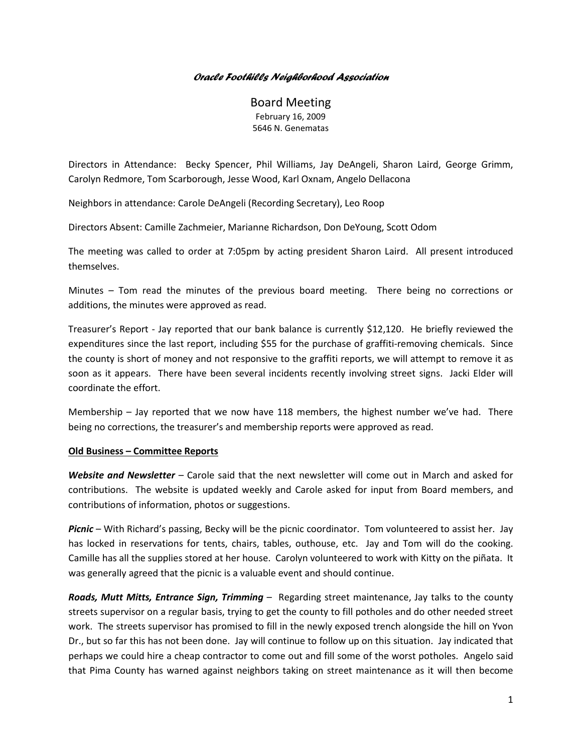## *Oracle Foothills Neighborhood Association*

Board Meeting February 16, 2009 5646 N. Genematas

Directors in Attendance: Becky Spencer, Phil Williams, Jay DeAngeli, Sharon Laird, George Grimm, Carolyn Redmore, Tom Scarborough, Jesse Wood, Karl Oxnam, Angelo Dellacona

Neighbors in attendance: Carole DeAngeli (Recording Secretary), Leo Roop

Directors Absent: Camille Zachmeier, Marianne Richardson, Don DeYoung, Scott Odom

The meeting was called to order at 7:05pm by acting president Sharon Laird. All present introduced themselves.

Minutes – Tom read the minutes of the previous board meeting. There being no corrections or additions, the minutes were approved as read.

Treasurer's Report - Jay reported that our bank balance is currently \$12,120. He briefly reviewed the expenditures since the last report, including \$55 for the purchase of graffiti-removing chemicals. Since the county is short of money and not responsive to the graffiti reports, we will attempt to remove it as soon as it appears. There have been several incidents recently involving street signs. Jacki Elder will coordinate the effort.

Membership – Jay reported that we now have 118 members, the highest number we've had. There being no corrections, the treasurer's and membership reports were approved as read.

## **Old Business – Committee Reports**

*Website and Newsletter* – Carole said that the next newsletter will come out in March and asked for contributions. The website is updated weekly and Carole asked for input from Board members, and contributions of information, photos or suggestions.

*Picnic* – With Richard's passing, Becky will be the picnic coordinator. Tom volunteered to assist her. Jay has locked in reservations for tents, chairs, tables, outhouse, etc. Jay and Tom will do the cooking. Camille has all the supplies stored at her house. Carolyn volunteered to work with Kitty on the piñata. It was generally agreed that the picnic is a valuable event and should continue.

*Roads, Mutt Mitts, Entrance Sign, Trimming* – Regarding street maintenance, Jay talks to the county streets supervisor on a regular basis, trying to get the county to fill potholes and do other needed street work. The streets supervisor has promised to fill in the newly exposed trench alongside the hill on Yvon Dr., but so far this has not been done. Jay will continue to follow up on this situation. Jay indicated that perhaps we could hire a cheap contractor to come out and fill some of the worst potholes. Angelo said that Pima County has warned against neighbors taking on street maintenance as it will then become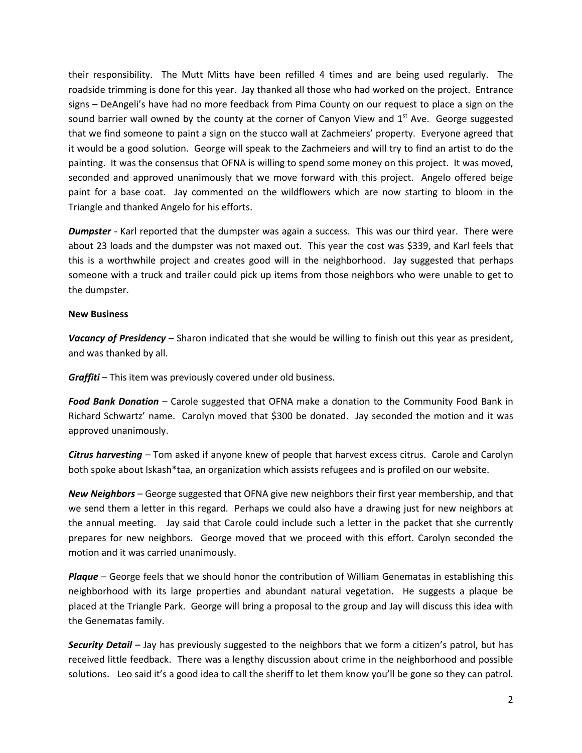their responsibility. The Mutt Mitts have been refilled 4 times and are being used regularly. The roadside trimming is done for this year. Jay thanked all those who had worked on the project. Entrance signs – DeAngeli's have had no more feedback from Pima County on our request to place a sign on the sound barrier wall owned by the county at the corner of Canyon View and  $1<sup>st</sup>$  Ave. George suggested that we find someone to paint a sign on the stucco wall at Zachmeiers' property. Everyone agreed that it would be a good solution. George will speak to the Zachmeiers and will try to find an artist to do the painting. It was the consensus that OFNA is willing to spend some money on this project. It was moved, seconded and approved unanimously that we move forward with this project. Angelo offered beige paint for a base coat. Jay commented on the wildflowers which are now starting to bloom in the Triangle and thanked Angelo for his efforts.

*Dumpster* - Karl reported that the dumpster was again a success. This was our third year. There were about 23 loads and the dumpster was not maxed out. This year the cost was \$339, and Karl feels that this is a worthwhile project and creates good will in the neighborhood. Jay suggested that perhaps someone with a truck and trailer could pick up items from those neighbors who were unable to get to the dumpster.

## **New Business**

*Vacancy of Presidency* – Sharon indicated that she would be willing to finish out this year as president, and was thanked by all.

*Graffiti* – This item was previously covered under old business.

*Food Bank Donation* – Carole suggested that OFNA make a donation to the Community Food Bank in Richard Schwartz' name. Carolyn moved that \$300 be donated. Jay seconded the motion and it was approved unanimously.

*Citrus harvesting* – Tom asked if anyone knew of people that harvest excess citrus. Carole and Carolyn both spoke about Iskash\*taa, an organization which assists refugees and is profiled on our website.

*New Neighbors* – George suggested that OFNA give new neighbors their first year membership, and that we send them a letter in this regard. Perhaps we could also have a drawing just for new neighbors at the annual meeting. Jay said that Carole could include such a letter in the packet that she currently prepares for new neighbors. George moved that we proceed with this effort. Carolyn seconded the motion and it was carried unanimously.

*Plaque* – George feels that we should honor the contribution of William Genematas in establishing this neighborhood with its large properties and abundant natural vegetation. He suggests a plaque be placed at the Triangle Park. George will bring a proposal to the group and Jay will discuss this idea with the Genematas family.

*Security Detail* – Jay has previously suggested to the neighbors that we form a citizen's patrol, but has received little feedback. There was a lengthy discussion about crime in the neighborhood and possible solutions. Leo said it's a good idea to call the sheriff to let them know you'll be gone so they can patrol.